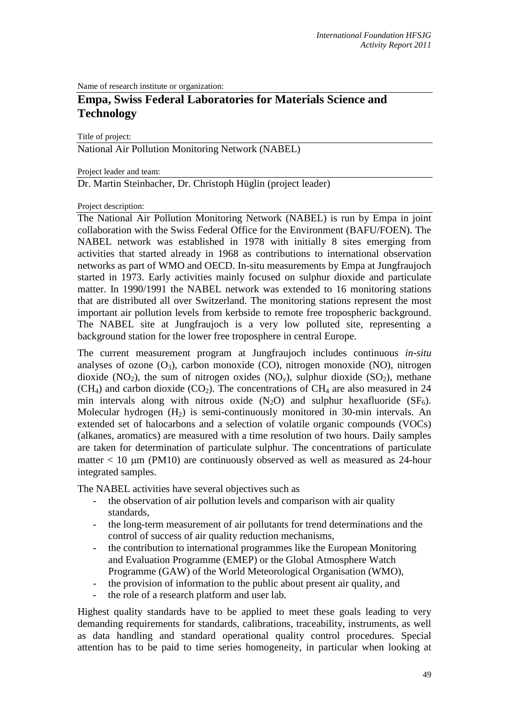Name of research institute or organization:

# **Empa, Swiss Federal Laboratories for Materials Science and Technology**

Title of project:

National Air Pollution Monitoring Network (NABEL)

Project leader and team:

Dr. Martin Steinbacher, Dr. Christoph Hüglin (project leader)

Project description:

The National Air Pollution Monitoring Network (NABEL) is run by Empa in joint collaboration with the Swiss Federal Office for the Environment (BAFU/FOEN). The NABEL network was established in 1978 with initially 8 sites emerging from activities that started already in 1968 as contributions to international observation networks as part of WMO and OECD. In-situ measurements by Empa at Jungfraujoch started in 1973. Early activities mainly focused on sulphur dioxide and particulate matter. In 1990/1991 the NABEL network was extended to 16 monitoring stations that are distributed all over Switzerland. The monitoring stations represent the most important air pollution levels from kerbside to remote free tropospheric background. The NABEL site at Jungfraujoch is a very low polluted site, representing a background station for the lower free troposphere in central Europe.

The current measurement program at Jungfraujoch includes continuous *in-situ* analyses of ozone  $(O_3)$ , carbon monoxide  $(CO)$ , nitrogen monoxide  $(NO)$ , nitrogen dioxide (NO<sub>2</sub>), the sum of nitrogen oxides (NO<sub>y</sub>), sulphur dioxide (SO<sub>2</sub>), methane (CH<sub>4</sub>) and carbon dioxide (CO<sub>2</sub>). The concentrations of CH<sub>4</sub> are also measured in 24 min intervals along with nitrous oxide  $(N_2O)$  and sulphur hexafluoride  $(SF_6)$ . Molecular hydrogen (H2) is semi-continuously monitored in 30-min intervals. An extended set of halocarbons and a selection of volatile organic compounds (VOCs) (alkanes, aromatics) are measured with a time resolution of two hours. Daily samples are taken for determination of particulate sulphur. The concentrations of particulate matter  $< 10 \mu m$  (PM10) are continuously observed as well as measured as 24-hour integrated samples.

The NABEL activities have several objectives such as

- the observation of air pollution levels and comparison with air quality standards,
- the long-term measurement of air pollutants for trend determinations and the control of success of air quality reduction mechanisms,
- the contribution to international programmes like the European Monitoring and Evaluation Programme (EMEP) or the Global Atmosphere Watch Programme (GAW) of the World Meteorological Organisation (WMO),
- the provision of information to the public about present air quality, and
- the role of a research platform and user lab.

Highest quality standards have to be applied to meet these goals leading to very demanding requirements for standards, calibrations, traceability, instruments, as well as data handling and standard operational quality control procedures. Special attention has to be paid to time series homogeneity, in particular when looking at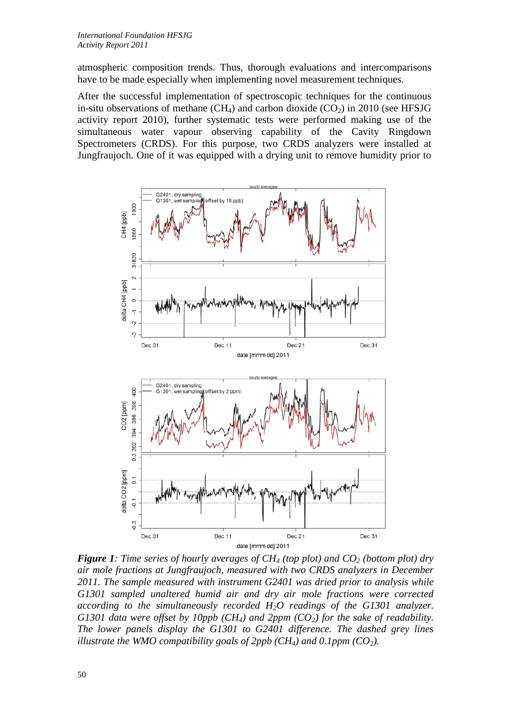atmospheric composition trends. Thus, thorough evaluations and intercomparisons have to be made especially when implementing novel measurement techniques.

After the successful implementation of spectroscopic techniques for the continuous in-situ observations of methane (CH<sub>4</sub>) and carbon dioxide (CO<sub>2</sub>) in 2010 (see HFSJG activity report 2010), further systematic tests were performed making use of the simultaneous water vapour observing capability of the Cavity Ringdown Spectrometers (CRDS). For this purpose, two CRDS analyzers were installed at Jungfraujoch. One of it was equipped with a drying unit to remove humidity prior to



*Figure 1: Time series of hourly averages of CH<sub>4</sub> (top plot) and CO<sub>2</sub> (bottom plot) dry air mole fractions at Jungfraujoch, measured with two CRDS analyzers in December 2011. The sample measured with instrument G2401 was dried prior to analysis while G1301 sampled unaltered humid air and dry air mole fractions were corrected according to the simultaneously recorded H2O readings of the G1301 analyzer. G1301 data were offset by 10ppb (CH<sub>4</sub>) and 2ppm (CO<sub>2</sub>) for the sake of readability. The lower panels display the G1301 to G2401 difference. The dashed grey lines illustrate the WMO compatibility goals of 2ppb (CH<sub>4</sub>) and 0.1ppm (CO<sub>2</sub>).*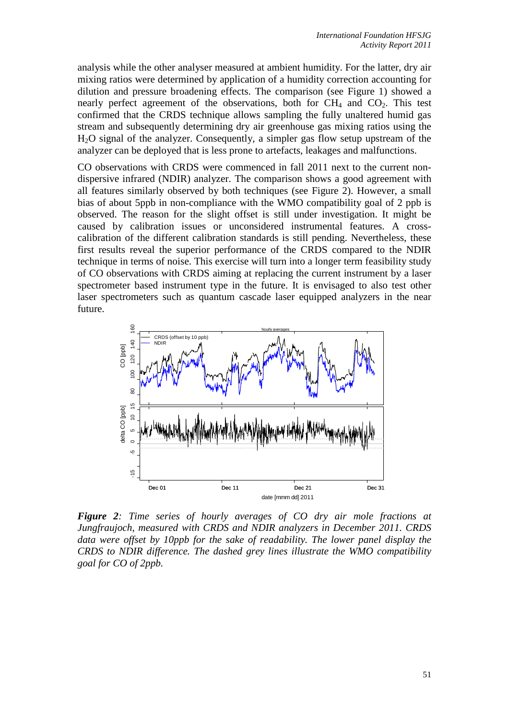analysis while the other analyser measured at ambient humidity. For the latter, dry air mixing ratios were determined by application of a humidity correction accounting for dilution and pressure broadening effects. The comparison (see Figure 1) showed a nearly perfect agreement of the observations, both for  $CH_4$  and  $CO_2$ . This test confirmed that the CRDS technique allows sampling the fully unaltered humid gas stream and subsequently determining dry air greenhouse gas mixing ratios using the H2O signal of the analyzer. Consequently, a simpler gas flow setup upstream of the analyzer can be deployed that is less prone to artefacts, leakages and malfunctions.

CO observations with CRDS were commenced in fall 2011 next to the current nondispersive infrared (NDIR) analyzer. The comparison shows a good agreement with all features similarly observed by both techniques (see Figure 2). However, a small bias of about 5ppb in non-compliance with the WMO compatibility goal of 2 ppb is observed. The reason for the slight offset is still under investigation. It might be caused by calibration issues or unconsidered instrumental features. A crosscalibration of the different calibration standards is still pending. Nevertheless, these first results reveal the superior performance of the CRDS compared to the NDIR technique in terms of noise. This exercise will turn into a longer term feasibility study of CO observations with CRDS aiming at replacing the current instrument by a laser spectrometer based instrument type in the future. It is envisaged to also test other laser spectrometers such as quantum cascade laser equipped analyzers in the near future.



*Figure 2: Time series of hourly averages of CO dry air mole fractions at Jungfraujoch, measured with CRDS and NDIR analyzers in December 2011. CRDS data were offset by 10ppb for the sake of readability. The lower panel display the CRDS to NDIR difference. The dashed grey lines illustrate the WMO compatibility*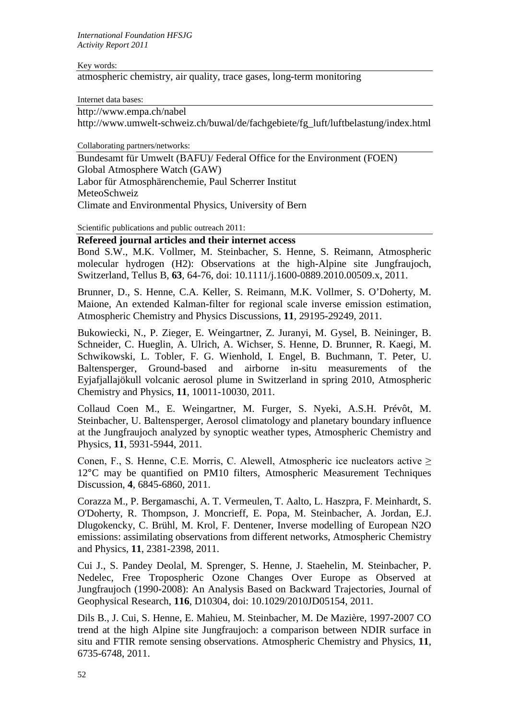Key words:

atmospheric chemistry, air quality, trace gases, long-term monitoring

Internet data bases:

http://www.empa.ch/nabel

http://www.umwelt-schweiz.ch/buwal/de/fachgebiete/fg\_luft/luftbelastung/index.html

Collaborating partners/networks:

Bundesamt für Umwelt (BAFU)/ Federal Office for the Environment (FOEN) Global Atmosphere Watch (GAW) Labor für Atmosphärenchemie, Paul Scherrer Institut MeteoSchweiz Climate and Environmental Physics, University of Bern

Scientific publications and public outreach 2011:

# **Refereed journal articles and their internet access**

Bond S.W., M.K. Vollmer, M. Steinbacher, S. Henne, S. Reimann, Atmospheric molecular hydrogen (H2): Observations at the high-Alpine site Jungfraujoch, Switzerland, Tellus B, **63**, 64-76, doi: 10.1111/j.1600-0889.2010.00509.x, 2011.

Brunner, D., S. Henne, C.A. Keller, S. Reimann, M.K. Vollmer, S. O'Doherty, M. Maione, An extended Kalman-filter for regional scale inverse emission estimation, Atmospheric Chemistry and Physics Discussions, **11**, 29195-29249, 2011.

Bukowiecki, N., P. Zieger, E. Weingartner, Z. Juranyi, M. Gysel, B. Neininger, B. Schneider, C. Hueglin, A. Ulrich, A. Wichser, S. Henne, D. Brunner, R. Kaegi, M. Schwikowski, L. Tobler, F. G. Wienhold, I. Engel, B. Buchmann, T. Peter, U. Baltensperger, Ground-based and airborne in-situ measurements of the Eyjafjallajökull volcanic aerosol plume in Switzerland in spring 2010, Atmospheric Chemistry and Physics, **11**, 10011-10030, 2011.

Collaud Coen M., E. Weingartner, M. Furger, S. Nyeki, A.S.H. Prévôt, M. Steinbacher, U. Baltensperger, Aerosol climatology and planetary boundary influence at the Jungfraujoch analyzed by synoptic weather types, Atmospheric Chemistry and Physics, **11**, 5931-5944, 2011.

Conen, F., S. Henne, C.E. Morris, C. Alewell, Atmospheric ice nucleators active  $\geq$ 12°C may be quantified on PM10 filters, Atmospheric Measurement Techniques Discussion, **4**, 6845-6860, 2011.

Corazza M., P. Bergamaschi, A. T. Vermeulen, T. Aalto, L. Haszpra, F. Meinhardt, S. O'Doherty, R. Thompson, J. Moncrieff, E. Popa, M. Steinbacher, A. Jordan, E.J. Dlugokencky, C. Brühl, M. Krol, F. Dentener, Inverse modelling of European N2O emissions: assimilating observations from different networks, Atmospheric Chemistry and Physics, **11**, 2381-2398, 2011.

Cui J., S. Pandey Deolal, M. Sprenger, S. Henne, J. Staehelin, M. Steinbacher, P. Nedelec, Free Tropospheric Ozone Changes Over Europe as Observed at Jungfraujoch (1990-2008): An Analysis Based on Backward Trajectories, Journal of Geophysical Research, **116**, D10304, doi: 10.1029/2010JD05154, 2011.

Dils B., J. Cui, S. Henne, E. Mahieu, M. Steinbacher, M. De Mazière, 1997-2007 CO trend at the high Alpine site Jungfraujoch: a comparison between NDIR surface in situ and FTIR remote sensing observations. Atmospheric Chemistry and Physics, **11**, 6735-6748, 2011.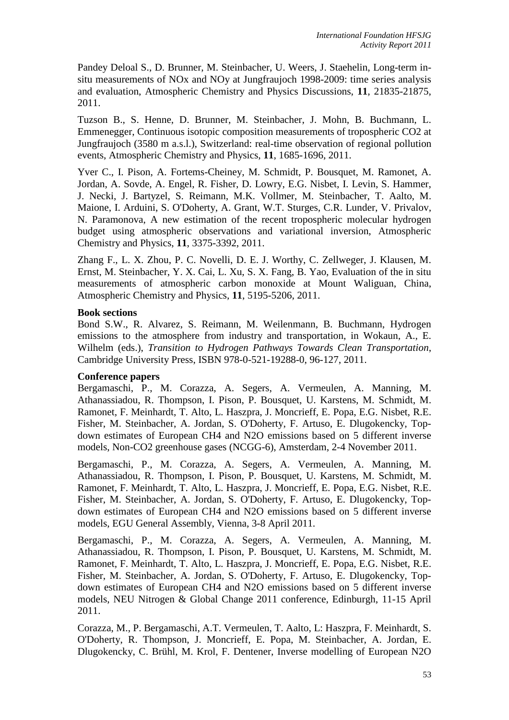Pandey Deloal S., D. Brunner, M. Steinbacher, U. Weers, J. Staehelin, Long-term insitu measurements of NOx and NOy at Jungfraujoch 1998-2009: time series analysis and evaluation, Atmospheric Chemistry and Physics Discussions, **11**, 21835-21875, 2011.

Tuzson B., S. Henne, D. Brunner, M. Steinbacher, J. Mohn, B. Buchmann, L. Emmenegger, Continuous isotopic composition measurements of tropospheric CO2 at Jungfraujoch (3580 m a.s.l.), Switzerland: real-time observation of regional pollution events, Atmospheric Chemistry and Physics, **11**, 1685-1696, 2011.

Yver C., I. Pison, A. Fortems-Cheiney, M. Schmidt, P. Bousquet, M. Ramonet, A. Jordan, A. Sovde, A. Engel, R. Fisher, D. Lowry, E.G. Nisbet, I. Levin, S. Hammer, J. Necki, J. Bartyzel, S. Reimann, M.K. Vollmer, M. Steinbacher, T. Aalto, M. Maione, I. Arduini, S. O'Doherty, A. Grant, W.T. Sturges, C.R. Lunder, V. Privalov, N. Paramonova, A new estimation of the recent tropospheric molecular hydrogen budget using atmospheric observations and variational inversion, Atmospheric Chemistry and Physics, **11**, 3375-3392, 2011.

Zhang F., L. X. Zhou, P. C. Novelli, D. E. J. Worthy, C. Zellweger, J. Klausen, M. Ernst, M. Steinbacher, Y. X. Cai, L. Xu, S. X. Fang, B. Yao, Evaluation of the in situ measurements of atmospheric carbon monoxide at Mount Waliguan, China, Atmospheric Chemistry and Physics, **11**, 5195-5206, 2011.

## **Book sections**

Bond S.W., R. Alvarez, S. Reimann, M. Weilenmann, B. Buchmann, Hydrogen emissions to the atmosphere from industry and transportation, in Wokaun, A., E. Wilhelm (eds.), *Transition to Hydrogen Pathways Towards Clean Transportation*, Cambridge University Press, ISBN 978-0-521-19288-0, 96-127, 2011.

### **Conference papers**

Bergamaschi, P., M. Corazza, A. Segers, A. Vermeulen, A. Manning, M. Athanassiadou, R. Thompson, I. Pison, P. Bousquet, U. Karstens, M. Schmidt, M. Ramonet, F. Meinhardt, T. Alto, L. Haszpra, J. Moncrieff, E. Popa, E.G. Nisbet, R.E. Fisher, M. Steinbacher, A. Jordan, S. O'Doherty, F. Artuso, E. Dlugokencky, Topdown estimates of European CH4 and N2O emissions based on 5 different inverse models, Non-CO2 greenhouse gases (NCGG-6), Amsterdam, 2-4 November 2011.

Bergamaschi, P., M. Corazza, A. Segers, A. Vermeulen, A. Manning, M. Athanassiadou, R. Thompson, I. Pison, P. Bousquet, U. Karstens, M. Schmidt, M. Ramonet, F. Meinhardt, T. Alto, L. Haszpra, J. Moncrieff, E. Popa, E.G. Nisbet, R.E. Fisher, M. Steinbacher, A. Jordan, S. O'Doherty, F. Artuso, E. Dlugokencky, Topdown estimates of European CH4 and N2O emissions based on 5 different inverse models, EGU General Assembly, Vienna, 3-8 April 2011.

Bergamaschi, P., M. Corazza, A. Segers, A. Vermeulen, A. Manning, M. Athanassiadou, R. Thompson, I. Pison, P. Bousquet, U. Karstens, M. Schmidt, M. Ramonet, F. Meinhardt, T. Alto, L. Haszpra, J. Moncrieff, E. Popa, E.G. Nisbet, R.E. Fisher, M. Steinbacher, A. Jordan, S. O'Doherty, F. Artuso, E. Dlugokencky, Topdown estimates of European CH4 and N2O emissions based on 5 different inverse models, NEU Nitrogen & Global Change 2011 conference, Edinburgh, 11-15 April 2011.

Corazza, M., P. Bergamaschi, A.T. Vermeulen, T. Aalto, L: Haszpra, F. Meinhardt, S. O'Doherty, R. Thompson, J. Moncrieff, E. Popa, M. Steinbacher, A. Jordan, E. Dlugokencky, C. Brühl, M. Krol, F. Dentener, Inverse modelling of European N2O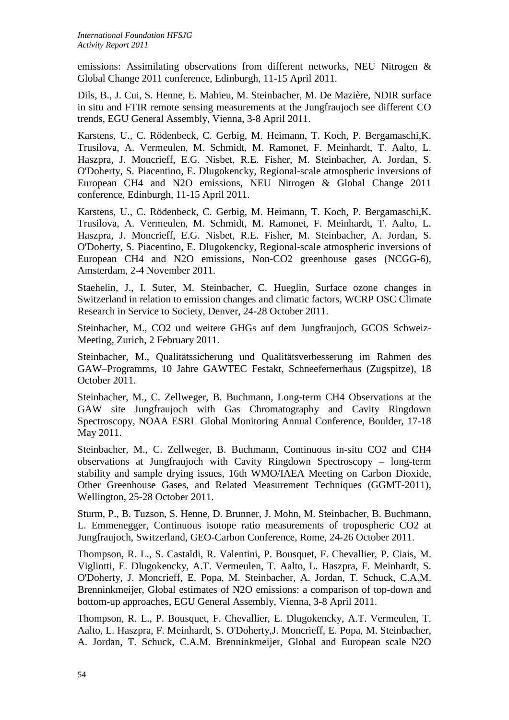emissions: Assimilating observations from different networks, NEU Nitrogen & Global Change 2011 conference, Edinburgh, 11-15 April 2011.

Dils, B., J. Cui, S. Henne, E. Mahieu, M. Steinbacher, M. De Mazière, NDIR surface in situ and FTIR remote sensing measurements at the Jungfraujoch see different CO trends, EGU General Assembly, Vienna, 3-8 April 2011.

Karstens, U., C. Rödenbeck, C. Gerbig, M. Heimann, T. Koch, P. Bergamaschi,K. Trusilova, A. Vermeulen, M. Schmidt, M. Ramonet, F. Meinhardt, T. Aalto, L. Haszpra, J. Moncrieff, E.G. Nisbet, R.E. Fisher, M. Steinbacher, A. Jordan, S. O'Doherty, S. Piacentino, E. Dlugokencky, Regional-scale atmospheric inversions of European CH4 and N2O emissions, NEU Nitrogen & Global Change 2011 conference, Edinburgh, 11-15 April 2011.

Karstens, U., C. Rödenbeck, C. Gerbig, M. Heimann, T. Koch, P. Bergamaschi,K. Trusilova, A. Vermeulen, M. Schmidt, M. Ramonet, F. Meinhardt, T. Aalto, L. Haszpra, J. Moncrieff, E.G. Nisbet, R.E. Fisher, M. Steinbacher, A. Jordan, S. O'Doherty, S. Piacentino, E. Dlugokencky, Regional-scale atmospheric inversions of European CH4 and N2O emissions, Non-CO2 greenhouse gases (NCGG-6), Amsterdam, 2-4 November 2011.

Staehelin, J., I. Suter, M. Steinbacher, C. Hueglin, Surface ozone changes in Switzerland in relation to emission changes and climatic factors, WCRP OSC Climate Research in Service to Society, Denver, 24-28 October 2011.

Steinbacher, M., CO2 und weitere GHGs auf dem Jungfraujoch, GCOS Schweiz-Meeting, Zurich, 2 February 2011.

Steinbacher, M., Qualitätssicherung und Qualitätsverbesserung im Rahmen des GAW–Programms, 10 Jahre GAWTEC Festakt, Schneefernerhaus (Zugspitze), 18 October 2011.

Steinbacher, M., C. Zellweger, B. Buchmann, Long-term CH4 Observations at the GAW site Jungfraujoch with Gas Chromatography and Cavity Ringdown Spectroscopy, NOAA ESRL Global Monitoring Annual Conference, Boulder, 17-18 May 2011.

Steinbacher, M., C. Zellweger, B. Buchmann, Continuous in-situ CO2 and CH4 observations at Jungfraujoch with Cavity Ringdown Spectroscopy – long-term stability and sample drying issues, 16th WMO/IAEA Meeting on Carbon Dioxide, Other Greenhouse Gases, and Related Measurement Techniques (GGMT-2011), Wellington, 25-28 October 2011.

Sturm, P., B. Tuzson, S. Henne, D. Brunner, J. Mohn, M. Steinbacher, B. Buchmann, L. Emmenegger, Continuous isotope ratio measurements of tropospheric CO2 at Jungfraujoch, Switzerland, GEO-Carbon Conference, Rome, 24-26 October 2011.

Thompson, R. L., S. Castaldi, R. Valentini, P. Bousquet, F. Chevallier, P. Ciais, M. Vigliotti, E. Dlugokencky, A.T. Vermeulen, T. Aalto, L. Haszpra, F. Meinhardt, S. O'Doherty, J. Moncrieff, E. Popa, M. Steinbacher, A. Jordan, T. Schuck, C.A.M. Brenninkmeijer, Global estimates of N2O emissions: a comparison of top-down and bottom-up approaches, EGU General Assembly, Vienna, 3-8 April 2011.

Thompson, R. L., P. Bousquet, F. Chevallier, E. Dlugokencky, A.T. Vermeulen, T. Aalto, L. Haszpra, F. Meinhardt, S. O'Doherty,J. Moncrieff, E. Popa, M. Steinbacher, A. Jordan, T. Schuck, C.A.M. Brenninkmeijer, Global and European scale N2O